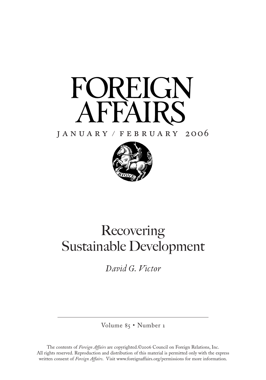

#### j a n u a r y / f e b r u a r y 2oo6



## Recovering Sustainable Development

*David G. Victor*

Volume 85 • Number 1

The contents of *Foreign Affairs* are copyrighted.©2006 Council on Foreign Relations, Inc. All rights reserved. Reproduction and distribution of this material is permitted only with the express written consent of *Foreign Affairs*. Visit www.foreignaffairs.org/permissions for more information.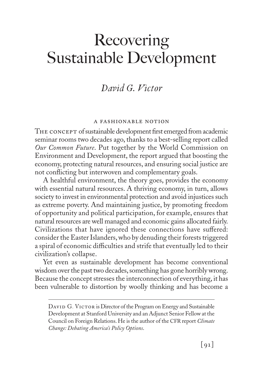### *David G. Victor*

#### a fashionable notion

THE CONCEPT of sustainable development first emerged from academic seminar rooms two decades ago, thanks to a best-selling report called *Our Common Future*. Put together by the World Commission on Environment and Development, the report argued that boosting the economy, protecting natural resources, and ensuring social justice are not conflicting but interwoven and complementary goals.

A healthful environment, the theory goes, provides the economy with essential natural resources. A thriving economy, in turn, allows society to invest in environmental protection and avoid injustices such as extreme poverty. And maintaining justice, by promoting freedom of opportunity and political participation, for example, ensures that natural resources are well managed and economic gains allocated fairly. Civilizations that have ignored these connections have suffered: consider the Easter Islanders,who by denuding their forests triggered a spiral of economic difficulties and strife that eventually led to their civilization's collapse.

Yet even as sustainable development has become conventional wisdom over the past two decades, something has gone horribly wrong. Because the concept stresses the interconnection of everything, it has been vulnerable to distortion by woolly thinking and has become a

DAVID G. VICTOR is Director of the Program on Energy and Sustainable Development at Stanford University and an Adjunct Senior Fellow at the Council on Foreign Relations. He is the author of the CFR report *Climate Change: Debating America's Policy Options*.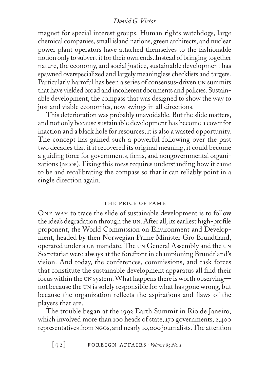magnet for special interest groups. Human rights watchdogs, large chemical companies, small island nations, green architects, and nuclear power plant operators have attached themselves to the fashionable notion only to subvert it for their own ends. Instead of bringing together nature, the economy, and social justice, sustainable development has spawned overspecialized and largely meaningless checklists and targets. Particularly harmful has been a series of consensus-driven un summits that have yielded broad and incoherent documents and policies. Sustainable development, the compass that was designed to show the way to just and viable economics, now swings in all directions.

This deterioration was probably unavoidable. But the slide matters, and not only because sustainable development has become a cover for inaction and a black hole for resources; it is also a wasted opportunity. The concept has gained such a powerful following over the past two decades that if it recovered its original meaning, it could become a guiding force for governments, firms, and nongovernmental organizations (ngos). Fixing this mess requires understanding how it came to be and recalibrating the compass so that it can reliably point in a single direction again.

#### THE PRICE OF FAME

One way to trace the slide of sustainable development is to follow the idea's degradation through the un.After all, its earliest high-profile proponent, the World Commission on Environment and Development, headed by then Norwegian Prime Minister Gro Brundtland, operated under a un mandate.The un General Assembly and the un Secretariat were always at the forefront in championing Brundtland's vision. And today, the conferences, commissions, and task forces that constitute the sustainable development apparatus all find their focus within the un system. What happens there is worth observing not because the un is solely responsible for what has gone wrong, but because the organization reflects the aspirations and flaws of the players that are.

The trouble began at the 1992 Earth Summit in Rio de Janeiro, which involved more than 100 heads of state, 170 governments, 2,400 representatives from NGOS, and nearly 10,000 journalists. The attention

 $[92]$  **FOREIGN AFFAIRS**  $\cdot$  *Volume 85 No. 1*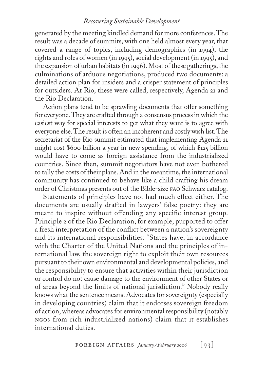generated by the meeting kindled demand for more conferences.The result was a decade of summits, with one held almost every year, that covered a range of topics, including demographics (in 1994), the rights and roles of women (in 1995), social development (in 1995), and the expansion of urban habitats (in 1996). Most of these gatherings, the culminations of arduous negotiations, produced two documents: a detailed action plan for insiders and a crisper statement of principles for outsiders. At Rio, these were called, respectively, Agenda 21 and the Rio Declaration.

Action plans tend to be sprawling documents that offer something for everyone.They are crafted through a consensus processin which the easiest way for special interests to get what they want is to agree with everyone else.The result is often an incoherent and costly wish list.The secretariat of the Rio summit estimated that implementing Agenda 21 might cost \$600 billion a year in new spending, of which \$125 billion would have to come as foreign assistance from the industrialized countries. Since then, summit negotiators have not even bothered to tally the costs of their plans. And in the meantime, the international community has continued to behave like a child crafting his dream order of Christmas presents out of the Bible-size fao Schwarz catalog.

Statements of principles have not had much effect either. The documents are usually drafted in lawyers' false poetry: they are meant to inspire without offending any specific interest group. Principle 2 of the Rio Declaration, for example, purported to offer a fresh interpretation of the conflict between a nation's sovereignty and its international responsibilities: "States have, in accordance with the Charter of the United Nations and the principles of international law, the sovereign right to exploit their own resources pursuant to their own environmental and developmental policies, and the responsibility to ensure that activities within their jurisdiction or control do not cause damage to the environment of other States or of areas beyond the limits of national jurisdiction." Nobody really knows what the sentence means. Advocates for sovereignty (especially in developing countries) claim that it endorses sovereign freedom of action,whereas advocates for environmental responsibility (notably ngos from rich industrialized nations) claim that it establishes international duties.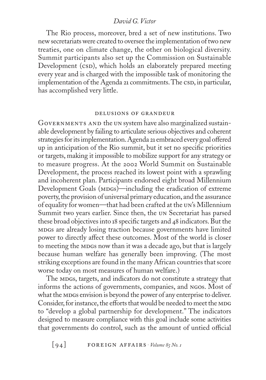The Rio process, moreover, bred a set of new institutions. Two new secretariats were created to oversee the implementation of two new treaties, one on climate change, the other on biological diversity. Summit participants also set up the Commission on Sustainable Development (CSD), which holds an elaborately prepared meeting every year and is charged with the impossible task of monitoring the implementation of the Agenda 21 commitments. The CSD, in particular, has accomplished very little.

#### delusions of grandeur

Governments and the un system have also marginalized sustainable development by failing to articulate serious objectives and coherent strategies for its implementation. Agenda 21 embraced every goal offered up in anticipation of the Rio summit, but it set no specific priorities or targets, making it impossible to mobilize support for any strategy or to measure progress. At the 2002 World Summit on Sustainable Development, the process reached its lowest point with a sprawling and incoherent plan. Participants endorsed eight broad Millennium Development Goals (MDGs)—including the eradication of extreme poverty, the provision of universal primary education, and the assurance of equality for women—that had been crafted at the un's Millennium Summit two years earlier. Since then, the un Secretariat has parsed these broad objectives into 18 specific targets and 48 indicators. But the mdgs are already losing traction because governments have limited power to directly affect these outcomes. Most of the world is closer to meeting the MDGs now than it was a decade ago, but that is largely because human welfare has generally been improving. (The most striking exceptions are found in the many African countries that score worse today on most measures of human welfare.)

The MDGs, targets, and indicators do not constitute a strategy that informs the actions of governments, companies, and ngos. Most of what the MDGs envision is beyond the power of any enterprise to deliver. Consider, for instance, the efforts that would be needed to meet the MDG to "develop a global partnership for development." The indicators designed to measure compliance with this goal include some activities that governments do control, such as the amount of untied official

 $\lceil 94 \rceil$  **FOREIGN AFFAIRS**  $\cdot$  *Volume 85 No. 1*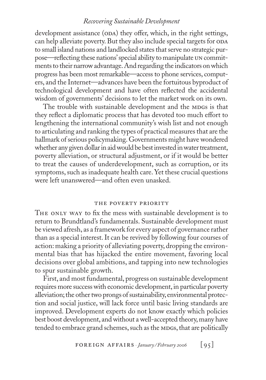development assistance (ODA) they offer, which, in the right settings, can help alleviate poverty. But they also include special targets for ODA to small island nations and landlocked states that serve no strategic purpose—reflecting these nations' special ability to manipulate un commitments to their narrow advantage. And regarding the indicators on which progress has been most remarkable—access to phone services, computers, and the Internet—advances have been the fortuitous byproduct of technological development and have often reflected the accidental wisdom of governments' decisions to let the market work on its own.

The trouble with sustainable development and the MDGs is that they reflect a diplomatic process that has devoted too much effort to lengthening the international community's wish list and not enough to articulating and ranking the types of practical measures that are the hallmark of serious policymaking. Governments might have wondered whether any given dollar in aid would be best invested in water treatment, poverty alleviation, or structural adjustment, or if it would be better to treat the causes of underdevelopment, such as corruption, or its symptoms, such as inadequate health care. Yet these crucial questions were left unanswered—and often even unasked.

#### THE POVERTY PRIORITY

THE ONLY WAY to fix the mess with sustainable development is to return to Brundtland's fundamentals. Sustainable development must be viewed afresh, as a framework for every aspect of governance rather than as a special interest.It can be revived by following four courses of action: making a priority of alleviating poverty, dropping the environmental bias that has hijacked the entire movement, favoring local decisions over global ambitions, and tapping into new technologies to spur sustainable growth.

First, and most fundamental, progress on sustainable development requires more success with economic development, in particular poverty alleviation; the other two prongs of sustainability, environmental protection and social justice, will lack force until basic living standards are improved. Development experts do not know exactly which policies best boost development, andwithout awell-accepted theory,many have tended to embrace grand schemes, such as the MDGs, that are politically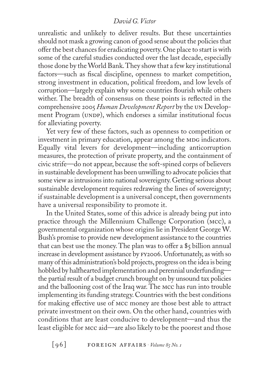unrealistic and unlikely to deliver results. But these uncertainties should not mask a growing canon of good sense about the policies that offer the best chances for eradicating poverty. One place to start is with some of the careful studies conducted over the last decade, especially those done by the World Bank.They show that a few key institutional factors—such as fiscal discipline, openness to market competition, strong investment in education, political freedom, and low levels of corruption—largely explain why some countries flourish while others wither. The breadth of consensus on these points is reflected in the comprehensive 2005 *Human Development Report* by the un Development Program (UNDP), which endorses a similar institutional focus for alleviating poverty.

Yet very few of these factors, such as openness to competition or investment in primary education, appear among the MDG indicators. Equally vital levers for development—including anticorruption measures, the protection of private property, and the containment of civic strife—do not appear, because the soft-spined corps of believers in sustainable development has been unwilling to advocate policies that some view as intrusions into national sovereignty. Getting serious about sustainable development requires redrawing the lines of sovereignty; if sustainable development is a universal concept, then governments have a universal responsibility to promote it.

In the United States, some of this advice is already being put into practice through the Millennium Challenge Corporation (mcc), a governmental organization whose origins lie in President George W. Bush's promise to provide new development assistance to the countries that can best use the money. The plan was to offer a  $\frac{1}{2}$  billion annual increase in development assistance by FY2006. Unfortunately, as with so many of this administration's bold projects, progress on the idea is being hobbled by halfhearted implementation and perennial underfunding the partial result of a budget crunch brought on by unsound tax policies and the ballooning cost of the Iraq war. The mcc has run into trouble implementing its funding strategy. Countries with the best conditions for making effective use of MCC money are those best able to attract private investment on their own. On the other hand, countries with conditions that are least conducive to development—and thus the least eligible for mcc aid—are also likely to be the poorest and those

 $\lceil 96 \rceil$  **FOREIGN AFFAIRS**  $\cdot$  *Volume 85 No. 1*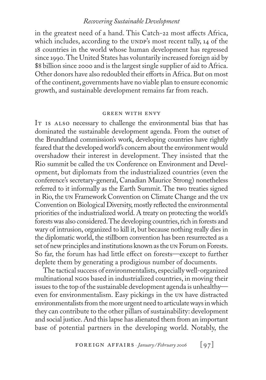in the greatest need of a hand. This Catch-22 most affects Africa, which includes, according to the UNDP's most recent tally,  $14$  of the 18 countries in the world whose human development has regressed since 1990.The United States has voluntarily increased foreign aid by \$8 billion since 2000 and is the largest single supplier of aid to Africa. Other donors have also redoubled their efforts in Africa. But on most of the continent, governments have no viable plan to ensure economic growth, and sustainable development remains far from reach.

#### green with envy

IT is ALSO necessary to challenge the environmental bias that has dominated the sustainable development agenda. From the outset of the Brundtland commission's work, developing countries have rightly feared that the developedworld's concern about the environmentwould overshadow their interest in development. They insisted that the Rio summit be called the un Conference on Environment and Development, but diplomats from the industrialized countries (even the conference's secretary-general, Canadian Maurice Strong) nonetheless referred to it informally as the Earth Summit. The two treaties signed in Rio, the un Framework Convention on Climate Change and the un Convention on Biological Diversity, mostly reflected the environmental priorities of the industrialized world. A treaty on protecting the world's forests was also considered. The developing countries, rich in forests and wary of intrusion, organized to kill it, but because nothing really dies in the diplomatic world, the stillborn convention has been resurrected as a set of new principles and institutions known as the UN Forum on Forests. So far, the forum has had little effect on forests—except to further deplete them by generating a prodigious number of documents.

The tactical success of environmentalists, especially well-organized multinational ngos based in industrialized countries, in moving their issues to the top of the sustainable development agenda is unhealthy even for environmentalism. Easy pickings in the un have distracted environmentalists from the more urgent need to articulate ways in which they can contribute to the other pillars of sustainability: development and social justice. And this lapse has alienated them from an important base of potential partners in the developing world. Notably, the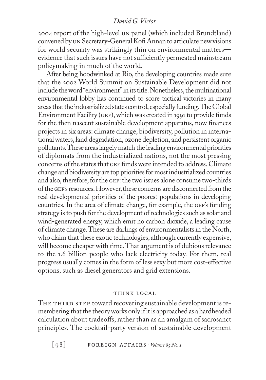2004 report of the high-level un panel (which included Brundtland) convened by un Secretary-General Kofi Annan to articulate new visions for world security was strikingly thin on environmental matters evidence that such issues have not sufficiently permeated mainstream policymaking in much of the world.

After being hoodwinked at Rio, the developing countries made sure that the 2002 World Summit on Sustainable Development did not include the word "environment" in its title. Nonetheless, the multinational environmental lobby has continued to score tactical victories in many areas that the industrialized states control, especially funding. The Global Environment Facility (GEF), which was created in 1991 to provide funds for the then nascent sustainable development apparatus, now finances projects in six areas: climate change, biodiversity, pollution in internationalwaters,land degradation,ozone depletion, and persistent organic pollutants.These areaslargely match the leading environmental priorities of diplomats from the industrialized nations, not the most pressing concerns of the states that GEF funds were intended to address. Climate change and biodiversity are top priorities for most industrialized countries and also, therefore, for the GEF: the two issues alone consume two-thirds of the GEF's resources. However, these concerns are disconnected from the real developmental priorities of the poorest populations in developing countries. In the area of climate change, for example, the GEF's funding strategy is to push for the development of technologies such as solar and wind-generated energy, which emit no carbon dioxide, a leading cause of climate change.These are darlings of environmentalistsin the North, who claim that these exotic technologies, although currently expensive, will become cheaper with time. That argument is of dubious relevance to the 1.6 billion people who lack electricity today. For them, real progress usually comes in the form of less sexy but more cost-effective options, such as diesel generators and grid extensions.

#### think local

THE THIRD STEP toward recovering sustainable development is remembering that the theory works only if it is approached as a hardheaded calculation about tradeoffs, rather than as an amalgam of sacrosanct principles. The cocktail-party version of sustainable development

 $\lceil 98 \rceil$  **FOREIGN AFFAIRS**  $\cdot$  *Volume 85 No. 1*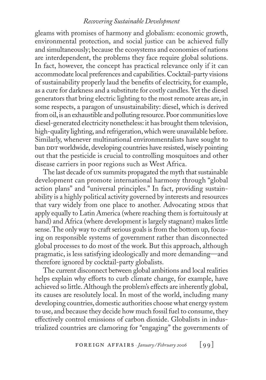gleams with promises of harmony and globalism: economic growth, environmental protection, and social justice can be achieved fully and simultaneously; because the ecosystems and economies of nations are interdependent, the problems they face require global solutions. In fact, however, the concept has practical relevance only if it can accommodate local preferences and capabilities.Cocktail-party visions of sustainability properly laud the benefits of electricity, for example, as a cure for darkness and a substitute for costly candles.Yet the diesel generators that bring electric lighting to the most remote areas are, in some respects, a paragon of unsustainability: diesel, which is derived from oil, is an exhaustible and polluting resource. Poor communities love diesel-generated electricity nonetheless: it has brought them television, high-quality lighting, and refrigeration, which were unavailable before. Similarly, whenever multinational environmentalists have sought to ban DDT worldwide, developing countries have resisted, wisely pointing out that the pesticide is crucial to controlling mosquitoes and other disease carriers in poor regions such as West Africa.

The last decade of un summits propagated the myth that sustainable development can promote international harmony through "global action plans" and "universal principles." In fact, providing sustainability is a highly political activity governed by interests and resources that vary widely from one place to another. Advocating MDGs that apply equally to Latin America (where reaching them is fortuitously at hand) and Africa (where development is largely stagnant) makes little sense.The only way to craft serious goals is from the bottom up, focusing on responsible systems of government rather than disconnected global processes to do most of the work. But this approach, although pragmatic, is less satisfying ideologically and more demanding—and therefore ignored by cocktail-party globalists.

The current disconnect between global ambitions and local realities helps explain why efforts to curb climate change, for example, have achieved so little. Although the problem's effects are inherently global, its causes are resolutely local. In most of the world, including many developing countries, domestic authorities choosewhat energy system to use, and because they decide how much fossil fuel to consume, they effectively control emissions of carbon dioxide. Globalists in industrialized countries are clamoring for "engaging" the governments of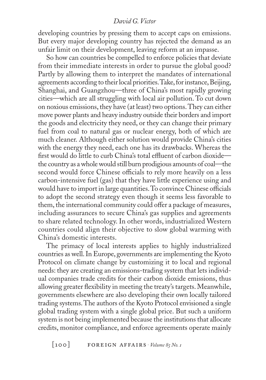developing countries by pressing them to accept caps on emissions. But every major developing country has rejected the demand as an unfair limit on their development, leaving reform at an impasse.

So how can countries be compelled to enforce policies that deviate from their immediate interests in order to pursue the global good? Partly by allowing them to interpret the mandates of international agreements according to their local priorities. Take, for instance, Beijing, Shanghai, and Guangzhou—three of China's most rapidly growing cities—which are all struggling with local air pollution. To cut down on noxious emissions, they have (at least) two options. They can either move power plants and heavy industry outside their borders and import the goods and electricity they need, or they can change their primary fuel from coal to natural gas or nuclear energy, both of which are much cleaner. Although either solution would provide China's cities with the energy they need, each one has its drawbacks. Whereas the first would do little to curb China's total effluent of carbon dioxidethe country as awholewould still burn prodigious amounts of coal—the second would force Chinese officials to rely more heavily on a less carbon-intensive fuel (gas) that they have little experience using and would have to import in large quantities. To convince Chinese officials to adopt the second strategy even though it seems less favorable to them, the international community could offer a package of measures, including assurances to secure China's gas supplies and agreements to share related technology. In other words, industrialized Western countries could align their objective to slow global warming with China's domestic interests.

The primacy of local interests applies to highly industrialized countries as well. In Europe, governments are implementing the Kyoto Protocol on climate change by customizing it to local and regional needs: they are creating an emissions-trading system that lets individual companies trade credits for their carbon dioxide emissions, thus allowing greater flexibility in meeting the treaty's targets.Meanwhile, governments elsewhere are also developing their own locally tailored trading systems.The authors of the Kyoto Protocol envisioned a single global trading system with a single global price. But such a uniform system is not being implemented because the institutions that allocate credits, monitor compliance, and enforce agreements operate mainly

[100] foreign affairs . *Volume 85 No.1*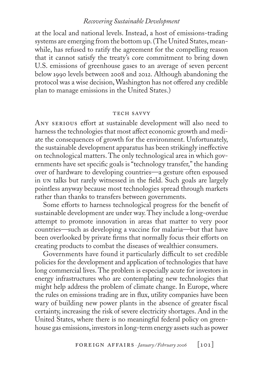at the local and national levels. Instead, a host of emissions-trading systems are emerging from the bottom up.(The United States, meanwhile, has refused to ratify the agreement for the compelling reason that it cannot satisfy the treaty's core commitment to bring down U.S. emissions of greenhouse gases to an average of seven percent below 1990 levels between 2008 and 2012. Although abandoning the protocol was a wise decision, Washington has not offered any credible plan to manage emissions in the United States.)

#### TECH SAVVY

ANY SERIOUS effort at sustainable development will also need to harness the technologies that most affect economic growth and mediate the consequences of growth for the environment. Unfortunately, the sustainable development apparatus has been strikingly ineffective on technological matters.The only technological area in which governments have set specific goals is "technology transfer," the handing over of hardware to developing countries—a gesture often espoused in un talks but rarely witnessed in the field. Such goals are largely pointless anyway because most technologies spread through markets rather than thanks to transfers between governments.

Some efforts to harness technological progress for the benefit of sustainable development are under way.They include a long-overdue attempt to promote innovation in areas that matter to very poor countries—such as developing a vaccine for malaria—but that have been overlooked by private firms that normally focus their efforts on creating products to combat the diseases of wealthier consumers.

Governments have found it particularly difficult to set credible policies for the development and application of technologies that have long commercial lives. The problem is especially acute for investors in energy infrastructures who are contemplating new technologies that might help address the problem of climate change. In Europe, where the rules on emissions trading are in flux, utility companies have been wary of building new power plants in the absence of greater fiscal certainty, increasing the risk of severe electricity shortages. And in the United States, where there is no meaningful federal policy on greenhouse gas emissions, investors in long-term energy assets such as power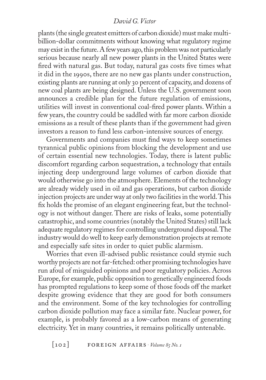plants(the single greatest emitters of carbon dioxide) must make multibillion-dollar commitments without knowing what regulatory regime may exist in the future. A few years ago, this problem was not particularly serious because nearly all new power plants in the United States were fired with natural gas. But today, natural gas costs five times what it did in the 1990s, there are no new gas plants under construction, existing plants are running at only 30 percent of capacity, and dozens of new coal plants are being designed. Unless the U.S. government soon announces a credible plan for the future regulation of emissions, utilities will invest in conventional coal-fired power plants. Within a few years, the country could be saddled with far more carbon dioxide emissions as a result of these plants than if the government had given investors a reason to fund less carbon-intensive sources of energy.

Governments and companies must find ways to keep sometimes tyrannical public opinions from blocking the development and use of certain essential new technologies. Today, there is latent public discomfort regarding carbon sequestration, a technology that entails injecting deep underground large volumes of carbon dioxide that would otherwise go into the atmosphere.Elements of the technology are already widely used in oil and gas operations, but carbon dioxide injection projects are under way at only two facilities in the world. This fix holds the promise of an elegant engineering feat, but the technology is not without danger. There are risks of leaks, some potentially catastrophic, and some countries (notably the United States) still lack adequate regulatory regimes for controlling underground disposal. The industry would do well to keep early demonstration projects at remote and especially safe sites in order to quiet public alarmism.

Worries that even ill-advised public resistance could stymie such worthy projects are not far-fetched: other promising technologies have run afoul of misguided opinions and poor regulatory policies. Across Europe, for example, public opposition to genetically engineered foods has prompted regulations to keep some of those foods off the market despite growing evidence that they are good for both consumers and the environment. Some of the key technologies for controlling carbon dioxide pollution may face a similar fate. Nuclear power, for example, is probably favored as a low-carbon means of generating electricity. Yet in many countries, it remains politically untenable.

[102] foreign affairs . *Volume 85 No.1*